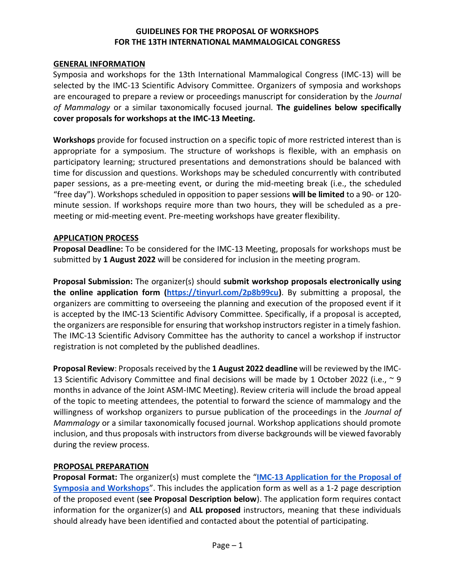# **GUIDELINES FOR THE PROPOSAL OF WORKSHOPS FOR THE 13TH INTERNATIONAL MAMMALOGICAL CONGRESS**

#### **GENERAL INFORMATION**

Symposia and workshops for the 13th International Mammalogical Congress (IMC-13) will be selected by the IMC-13 Scientific Advisory Committee. Organizers of symposia and workshops are encouraged to prepare a review or proceedings manuscript for consideration by the *Journal of Mammalogy* or a similar taxonomically focused journal*.* **The guidelines below specifically cover proposals for workshops at the IMC-13 Meeting.**

**Workshops** provide for focused instruction on a specific topic of more restricted interest than is appropriate for a symposium. The structure of workshops is flexible, with an emphasis on participatory learning; structured presentations and demonstrations should be balanced with time for discussion and questions. Workshops may be scheduled concurrently with contributed paper sessions, as a pre-meeting event, or during the mid-meeting break (i.e., the scheduled "free day"). Workshops scheduled in opposition to paper sessions **will be limited** to a 90- or 120 minute session. If workshops require more than two hours, they will be scheduled as a premeeting or mid-meeting event. Pre-meeting workshops have greater flexibility.

#### **APPLICATION PROCESS**

**Proposal Deadline:** To be considered for the IMC-13 Meeting, proposals for workshops must be submitted by **1 August 2022** will be considered for inclusion in the meeting program.

**Proposal Submission:** The organizer(s) should **submit workshop proposals electronically using the online application form [\(https://tinyurl.com/2p8b99cu\)](https://tinyurl.com/2p8b99cu)**. By submitting a proposal, the organizers are committing to overseeing the planning and execution of the proposed event if it is accepted by the IMC-13 Scientific Advisory Committee. Specifically, if a proposal is accepted, the organizers are responsible for ensuring that workshop instructors register in a timely fashion. The IMC-13 Scientific Advisory Committee has the authority to cancel a workshop if instructor registration is not completed by the published deadlines.

**Proposal Review**: Proposals received by the **1 August 2022 deadline** will be reviewed by the IMC-13 Scientific Advisory Committee and final decisions will be made by 1 October 2022 (i.e.,  $\sim$  9 months in advance of the Joint ASM-IMC Meeting). Review criteria will include the broad appeal of the topic to meeting attendees, the potential to forward the science of mammalogy and the willingness of workshop organizers to pursue publication of the proceedings in the *Journal of Mammalogy* or a similar taxonomically focused journal. Workshop applications should promote inclusion, and thus proposals with instructors from diverse backgrounds will be viewed favorably during the review process.

#### **PROPOSAL PREPARATION**

**Proposal Format:** The organizer(s) must complete the "**[IMC-13 Application for the Proposal of](https://tinyurl.com/2p8b99cu)  [Symposia and Workshops](https://tinyurl.com/2p8b99cu)**". This includes the application form as well as a 1-2 page description of the proposed event (**see Proposal Description below**). The application form requires contact information for the organizer(s) and **ALL proposed** instructors, meaning that these individuals should already have been identified and contacted about the potential of participating.